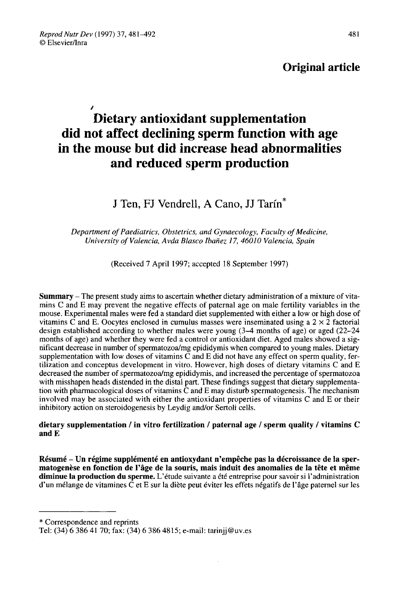# Original article

# Dietary antioxidant supplementation did not affect declining sperm function with age in the mouse but did increase head abnormalities and reduced sperm production

# J Ten, FJ Vendrell, A Cano, JJ Tarín<sup>\*</sup>

Department of Paediatrics, Obstetrics, and Gynaecology, Faculty of Medicine, University of Valencia, Avda Blasco Ibanez 17, 46010 Valencia, Spain

(Received 7 April 1997; accepted 18 September 1997)

Summary - The present study aims to ascertain whether dietary administration of a mixture of vitamins C and E may prevent the negative effects of paternal age on male fertility variables in the mouse. Experimental males were fed a standard diet supplemented with either a low or high dose of vitamins C and E. Oocytes enclosed in cumulus masses were inseminated using a  $2 \times 2$  factorial design established according to whether males were young (3-4 months of age) or aged (22-24 months of age) and whether they were fed a control or antioxidant diet. Aged males showed a significant decrease in number of spermatozoa/mg epididymis when compared to young males. Dietary supplementation with low doses of vitamins  $\tilde{C}$  and E did not have any effect on sperm quality, fertilization and conceptus development in vitro. However, high doses of dietary vitamins C and E decreased the number of spermatozoa/mg epididymis, and increased the percentage of spermatozoa with misshapen heads distended in the distal part. These findings suggest that dietary supplementation with pharmacological doses of vitamins  $\overline{C}$  and  $\overline{E}$  may disturb spermatogenesis. The mechanism involved may be associated with either the antioxidant properties of vitamins C and E or their inhibitory action on steroidogenesis by Leydig and/or Sertoli cells.

dietary supplementation / in vitro fertilization / paternal age / sperm quality / vitamins C and E

Résumé - Un régime supplémenté en antioxydant n'empêche pas la décroissance de la spermatogenèse en fonction de l'âge de la souris, mais induit des anomalies de la tête et même diminue la production du sperme. L'étude suivante a été entreprise pour savoir si l'administration d'un mélange de vitamines C et E sur la diète peut éviter les effets négatifs de l'âge paternel sur les

<sup>\*</sup> Correspondence and reprints

Tel: (34) 6 386 41 70; fax: (34) 6 386 4815; e-mail: tarinjj@uv.es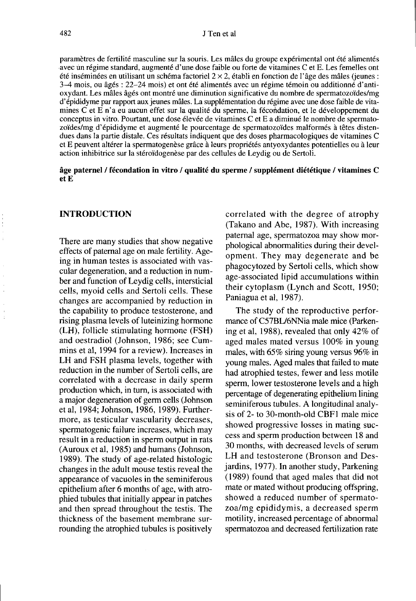paramètres de fertilité masculine sur la souris. Les mâles du groupe expérimental ont été alimentés avec un régime standard, augmenté d'une dose faible ou forte de vitamines C et E. Les femelles ont été inséminées en utilisant un schéma factoriel  $2 \times 2$ , établi en fonction de l'âge des mâles (jeunes : 3-4 mois, ou âgés : 22-24 mois) et ont été alimentés avec un régime témoin ou additionné d'antioxydant. Les mâles âgés ont montré une diminution significative du nombre de spermatozoïdes/mg d'épididyme par rapport aux jeunes mâles. La supplémentation du régime avec une dose faible de vitamines C et E n'a eu aucun effet sur la qualité du sperme, la fécondation, et le développement du conceptus in vitro. Pourtant, une dose élevée de vitamines C et E a diminué le nombre de spermatozoïdes/mg d'épididyme et augmenté le pourcentage de spermatozoïdes malformés à têtes distendues dans la partie distale. Ces résultats indiquent que des doses pharmacologiques de vitamines C et E peuvent altérer la spermatogenèse grâce à leurs propriétés antyoxydantes potentielles ou à leur action inhibitrice sur la stéroïdogenèse par des cellules de Leydig ou de Sertoli.

#### âge paternel / fécondation in vitro / qualité du sperme / supplément diététique / vitamines C et E

#### INTRODUCTION

There are many studies that show negative effects of paternal age on male fertility. Ageing in human testes is associated with vascular degeneration, and a reduction in number and function of Leydig cells, intersticial cells, myoid cells and Sertoli cells. These changes are accompanied by reduction in the capability to produce testosterone, and rising plasma levels of luteinizing hormone (LH), follicle stimulating hormone (FSH) and oestradiol (Johnson, 1986; see Cummins et al, 1994 for a review). Increases in LH and FSH plasma levels, together with reduction in the number of Sertoli cells, are correlated with a decrease in daily sperm production which, in turn, is associated with a major degeneration of germ cells (Johnson et al, 1984; Johnson, 1986, 1989). Furthermore, as testicular vascularity decreases, spermatogenic failure increases, which may result in a reduction in sperm output in rats (Auroux et al, 1985) and humans (Johnson, 1989). The study of age-related histologic changes in the adult mouse testis reveal the appearance of vacuoles in the seminiferous epithelium after 6 months of age, with atrophied tubules that initially appear in patches and then spread throughout the testis. The thickness of the basement membrane surrounding the atrophied tubules is positively

correlated with the degree of atrophy (Takano and Abe, 1987). With increasing paternal age, spermatozoa may show morphological abnormalities during their development. They may degenerate and be phagocytozed by Sertoli cells, which show age-associated lipid accumulations within their cytoplasm (Lynch and Scott, 1950; Paniagua et al, 1987).

The study of the reproductive perfor mance of C57BL/6NNia male mice (Parkening et al, 1988), revealed that only 42% of aged males mated versus 100% in young males, with 65% siring young versus 96% in young males. Aged males that failed to mate had atrophied testes, fewer and less motile sperm, lower testosterone levels and a high percentage of degenerating epithelium lining seminiferous tubules. A longitudinal analysis of 2- to 30-month-old CBF1 male mice showed progressive losses in mating success and sperm production between 18 and 30 months, with decreased levels of serum LH and testosterone (Bronson and Desjardins, 1977). In another study, Parkening (1989) found that aged males that did not mate or mated without producing offspring, showed a reduced number of spermatozoa/mg epididymis, a decreased sperm motility, increased percentage of abnormal spermatozoa and decreased fertilization rate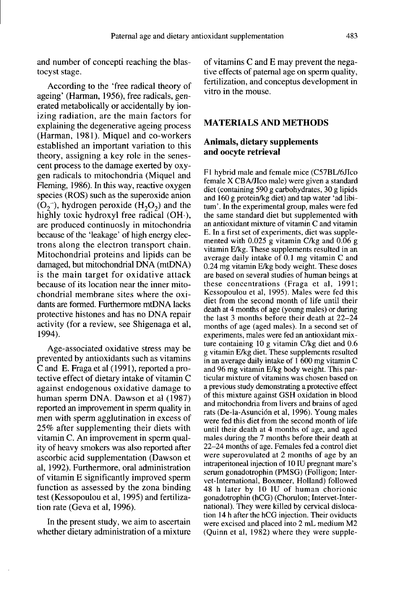and number of concepti reaching the blastocyst stage.

According to the 'free radical theory of ageing' (Harman, 1956), free radicals, generated metabolically or accidentally by ionizing radiation, are the main factors for explaining the degenerative ageing process (Harman, 1981). Miquel and co-workers established an important variation to this theory, assigning a key role in the senescent process to the damage exerted by oxygen radicals to mitochondria (Miquel and Fleming, 1986). In this way, reactive oxygen species (ROS) such as the superoxide anion  $(O_2^-)$ , hydrogen peroxide (H<sub>2</sub>O<sub>2</sub>) and the Fleming, 1986). In this way, reactive oxygen<br>species (ROS) such as the superoxide anion<br>(O<sub>2</sub><sup>-</sup>), hydrogen peroxide (H<sub>2</sub>O<sub>2</sub>) and the<br>highly toxic hydroxyl free radical (OH·), are produced continuosly in mitochondria because of the 'leakage' of high energy electrons along the electron transport chain. Mitochondrial proteins and lipids can be damaged, but mitochondrial DNA (mtDNA) is the main target for oxidative attack because of its location near the inner mitochondrial membrane sites where the oxidants are formed. Furthermore mtDNA lacks protective histones and has no DNA repair activity (for a review, see Shigenaga et al, 1994).

Age-associated oxidative stress may be prevented by antioxidants such as vitamins C and E. Fraga et al (1991), reported a protective effect of dietary intake of vitamin C against endogenous oxidative damage to human sperm DNA. Dawson et al (1987) reported an improvement in sperm quality in men with sperm agglutination in excess of 25% after supplementing their diets with vitamin C. An improvement in sperm quality of heavy smokers was also reported after ascorbic acid supplementation (Dawson et al, 1992). Furthermore, oral administration of vitamin E significantly improved sperm function as assessed by the zona binding test (Kessopoulou et al, 1995) and fertilization rate (Geva et al, 1996).

In the present study, we aim to ascertain whether dietary administration of a mixture

of vitamins C and E may prevent the negative effects of paternal age on sperm quality, fertilization, and conceptus development in vitro in the mouse.

## MATERIALS AND METHODS

#### Animals, dietary supplements and oocyte retrieval

F1 hybrid male and female mice (C57BL/6JIco female X CBA/Jlco male) were given a standard diet (containing 590 g carbohydrates, 30 g lipids and 160 g protein/kg diet) and tap water 'ad libitum'. In the experimental group, males were fed the same standard diet but supplemented with an antioxidant mixture of vitamin C and vitamin E. In a first set of experiments, diet was supplemented with 0.025 g vitamin C/kg and 0.06 g vitamin E/kg. These supplements resulted in an average daily intake of 0.1 mg vitamin C and 0.24 mg vitamin E/kg body weight. These doses are based on several studies of human beings at these concentrations (Fraga et al, 1991; Kessopoulou et al, 1995). Males were fed this diet from the second month of life until their death at 4 months of age (young males) or during the last 3 months before their death at 22-24 months of age (aged males). In a second set of experiments, males were fed an antioxidant mixture containing 10 g vitamin C/kg diet and 0.6 g vitamin E/kg diet. These supplements resulted in an average daily intake of 1 600 mg vitamin C and 96 mg vitamin E/kg body weight. This particular mixture of vitamins was chosen based on a previous study demonstrating a protective effect of this mixture against GSH oxidation in blood and mitochondria from livers and brains of aged rats (De-la-Asunción et al, 1996). Young males were fed this diet from the second month of life until their death at 4 months of age, and aged males during the 7 months before their death at 22-24 months of age. Females fed a control diet were superovulated at 2 months of age by an intraperitoneal injection of 10 IU pregnant mare's serum gonadotrophin (PMSG) (Folligon; Intervet-Intemational, Boxmeer, Holland) followed 48 h later by 10 IU of human chorionic gonadotrophin (hCG) (Chorulon; Intervet-International). They were killed by cervical dislocation 14 h after the hCG injection. Their oviducts were excised and placed into 2 mL medium M2 (Quinn et al, 1982) where they were supple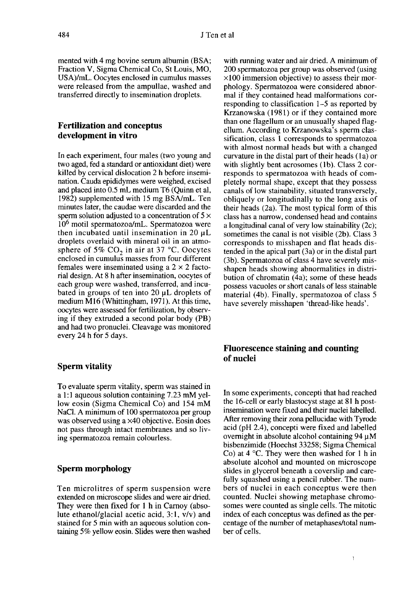mented with 4 mg bovine serum albumin (BSA; Fraction V, Sigma Chemical Co, St Louis, MO, USA)/mL. Oocytes enclosed in cumulus masses were released from the ampullae, washed and transferred directly to insemination droplets.

#### Fertilization and conceptus development in vitro

In each experiment, four males (two young and two aged, fed a standard or antioxidant diet) were killed by cervical dislocation 2 h before insemination. Cauda epididymes were weighed, excised and placed into 0.5 mL medium T6 (Quinn et al, 1982) supplemented with IS mg BSA/mL. Ten minutes later, the caudae were discarded and the sperm solution adjusted to a concentration of  $5 \times$ 106 motil spermatozoa/mL. Spermatozoa were then incubated until insemination in 20  $\mu$ L droplets overlaid with mineral oil in an atmo-<br>sphere of  $5\%$  CO<sub>2</sub> in air at 37 °C. Oocytes<br>enclosed in cumulus masses from four different enclosed in cumulus masses from four different females were inseminated using a  $2 \times 2$  factorial design. At 8 h after insemination, oocytes of each group were washed, transferred, and incubated in groups of ten into  $20 \mu L$  droplets of medium M16 (Whittingham, 1971). At this time, oocytes were assessed for fertilization, by observing if they extruded a second polar body (PB) and had two pronuclei. Cleavage was monitored every 24 h for 5 days.

#### Sperm vitality

To evaluate sperm vitality, sperm was stained in a 1:1 aqueous solution containing 7.23 mM yellow eosin (Sigma Chemical Co) and 154 mM NaCI. A minimum of 100 spermatozoa per group was observed using a  $\times$ 40 objective. Eosin does not pass through intact membranes and so living spermatozoa remain colourless.

#### Sperm morphology

Ten microlitres of sperm suspension were extended on microscope slides and were air dried. They were then fixed for 1 h in Carnoy (absolute ethanol/glacial acetic acid, 3:1, v/v) and stained for 5 min with an aqueous solution containing 5% yellow eosin. Slides were then washed

with running water and air dried. A minimum of 200 spermatozoa per group was observed (using  $\times$ 100 immersion objective) to assess their morphology. Spermatozoa were considered abnormal if they contained head malformations corresponding to classification 1-5 as reported by Krzanowska (1981) or if they contained more than one flagellum or an unusually shaped flagellum. According to Krzanowska's sperm classification, class 1 corresponds to spermatozoa with almost normal heads but with a changed curvature in the distal part of their heads (la) or with slightly bent acrosomes (1b). Class 2 corresponds to spermatozoa with heads of completely normal shape, except that they possess canals of low stainability, situated transversely, obliquely or longitudinally to the long axis of their heads (2a). The most typical form of this class has a narrow, condensed head and contains a longitudinal canal of very low stainability (2c); sometimes the canal is not visible (2b). Class 3 corresponds to misshapen and flat heads distended in the apical part (3a) or in the distal part (3b). Spermatozoa of class 4 have severely misshapen heads showing abnormalities in distribution of chromatin (4a); some of these heads possess vacuoles or short canals of less stainable material (4b). Finally, spermatozoa of class 5 have severely misshapen 'thread-like heads'.

## Fluorescence staining and counting of nuclei

In some experiments, concepti that had reached the 16-cell or early blastocyst stage at 81 h postinsemination were fixed and their nuclei labelled. After removing their zona pellucidae with Tyrode acid (pH 2.4), concepti were fixed and labelled overnight in absolute alcohol containing  $94 \mu M$ bisbenzimide (Hoechst 33258; Sigma Chemical Co) at 4 °C. They were then washed for 1 h in absolute alcohol and mounted on microscope slides in glycerol beneath a coverslip and carefully squashed using a pencil rubber. The numbers of nuclei in each conceptus were then counted. Nuclei showing metaphase chromosomes were counted as single cells. The mitotic index of each conceptus was defined as the percentage of the number of metaphases/total number of cells.

Ĭ.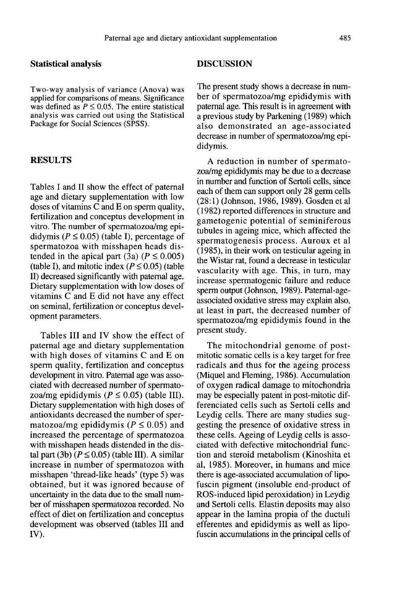#### Statistical analysis

Two-way analysis of variance (Anova) was was defined as  $P \le 0.05$ . The entire statistical analysis was carried out using the Statistical Package for Social Sciences (SPSS).

# **RESULTS**

Tables I and II show the effect of paternal age and dietary supplementation with low doses of vitamins C and E on sperm quality, fertilization and conceptus development in vitro. The number of spermatozoa/mg epididymis ( $P \le 0.05$ ) (table I), percentage of spermatozoa with misshapen heads distended in the apical part  $(3a)$  ( $P \le 0.005$ ) (table I), and mitotic index ( $P \le 0.05$ ) (table II) decreased significantly with paternal age. Dietary supplementation with low doses of vitamins C and E did not have any effect on seminal, fertilization or conceptus development parameters.

Tables III and IV show the effect of paternal age and dietary supplementation with high doses of vitamins C and E on sperm quality, fertilization and conceptus development in vitro. Paternal age was associated with decreased number of spermatozoa/mg epididymis ( $P \le 0.05$ ) (table III). Dietary supplementation with high doses of antioxidants decreased the number of spermatozoa/mg epididymis ( $P \le 0.05$ ) and increased the percentage of spermatozoa with misshapen heads distended in the distal part (3b) ( $P \le 0.05$ ) (table III). A similar increase in number of spermatozoa with misshapen 'thread-like heads' (type 5) was obtained, but it was ignored because of uncertainty in the data due to the small number of misshapen spermatozoa recorded. No effect of diet on fertilization and conceptus development was observed (tables III and IV).

# DISCUSSION

The present study shows a decrease in number of spermatozoa/mg epididymis with paternal age. This result is in agreement with a previous study by Parkening (1989) which also demonstrated an age-associated decrease in number of spermatozoa/mg epididymis.

A reduction in number of spermatozoa/mg epididymis may be due to a decrease in number and function of Sertoli cells, since each of them can support only 28 germ cells (28:1 ) (Johnson, 1986, 1989). Gosden et al (1982) reported differences in structure and gametogenic potential of seminiferous tubules in ageing mice, which affected the spermatogenesis process. Auroux et al (1985), in their work on testicular ageing in the Wistar rat, found a decrease in testicular vascularity with age. This, in turn, may increase spermatogenic failure and reduce sperm output (Johnson, 1989). Patemal-ageassociated oxidative stress may explain also, at least in part, the decreased number of spermatozoa/mg epididymis found in the present study.

The mitochondrial genome of postmitotic somatic cells is a key target for free radicals and thus for the ageing process (Miquel and Fleming, 1986). Accumulation of oxygen radical damage to mitochondria may be especially patent in post-mitotic differenciated cells such as Sertoli cells and Leydig cells. There are many studies suggesting the presence of oxidative stress in these cells. Ageing of Leydig cells is associated with defective mitochondrial function and steroid metabolism (Kinoshita et al, 1985). Moreover, in humans and mice there is age-associated accumulation of lipofuscin pigment (insoluble end-product of ROS-induced lipid peroxidation) in Leydig and Sertoli cells. Elastin deposits may also appear in the lamina propia of the ductuli efferentes and epididymis as well as lipofuscin accumulations in the principal cells of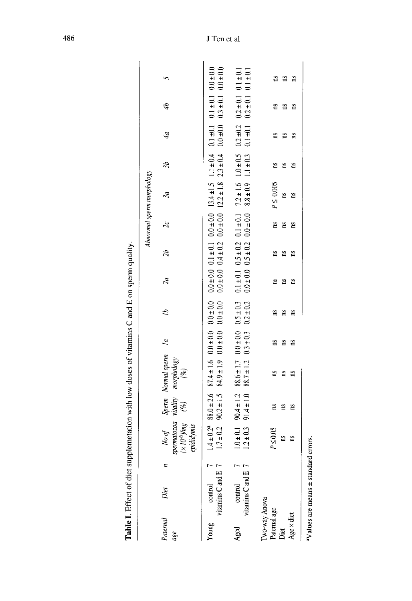| <b>A CARACTER CONTROL</b> |
|---------------------------|
|                           |
|                           |
|                           |
|                           |
|                           |
|                           |
|                           |
| $\ddot{\phantom{0}}$      |
|                           |
| ļ                         |
| ॄ                         |
|                           |
| ʻ.                        |
| l                         |
|                           |
|                           |
|                           |
|                           |
|                           |
|                           |
|                           |
|                           |
| ;                         |
|                           |
| ּ<br>ו                    |
|                           |
| .<br>.<br>.               |
|                           |
|                           |
|                           |
|                           |
|                           |
|                           |
| $\frac{1}{2}$             |
|                           |
|                           |
|                           |
|                           |
|                           |
|                           |
|                           |
|                           |
|                           |
|                           |
|                           |
|                           |
|                           |
|                           |
|                           |
|                           |
|                           |
| ֚֚֬                       |
|                           |
|                           |
|                           |
|                           |
|                           |
| .<br>I                    |
|                           |

|                  |                                       |   |                                                              |                                  |                                                                                                                                                                                                                         |                              |                                |                |                                                                                        |                                     | Abnormal sperm morphology                    |               |                              |                                                            |              |
|------------------|---------------------------------------|---|--------------------------------------------------------------|----------------------------------|-------------------------------------------------------------------------------------------------------------------------------------------------------------------------------------------------------------------------|------------------------------|--------------------------------|----------------|----------------------------------------------------------------------------------------|-------------------------------------|----------------------------------------------|---------------|------------------------------|------------------------------------------------------------|--------------|
| Paternal<br>age  | Diet                                  | z | spermatozoa<br>$N$ o $\sigma$<br>$(x10^6)$ /mg<br>epididymis | $($ %)                           | Sperm Normal sperm 1a<br>vitality morphology                                                                                                                                                                            |                              | Ĺ                              | $\overline{a}$ | $\mathcal{L}$                                                                          | $\overline{c}$                      | $\mathcal{E}$                                | 36            | 40                           | 4þ                                                         |              |
| Suno,            | vitamins C and E<br>control           | r | $1.4 \pm 0.2^a$<br>$1.7 \pm 0.2$                             | $90.2 \pm 1.5$                   | $83.0 \pm 2.6$ $87.4 \pm 1.6$ $0.0 \pm 0.0$ $0.0 \pm 0.0$ $0.0 \pm 0.0$ $0.0 \pm 0.0$ $0.0 \pm 0.0$ $0.0 \pm 0.0$ $0.0 \pm 0.0$ $0.0 \pm 0.0$ $0.0 \pm 0.0$ $0.0 \pm 0.0$ $0.0 \pm 0.0$<br>$84.9 \pm 1.9$ 0.0 $\pm$ 0.0 |                              | $0.0 + 0.0$                    |                |                                                                                        | $0.0 \pm 0.0$ $0.2 \pm 0.0 \pm 0.0$ | $12.2 \pm 1.8$ $2.3 \pm 0.4$                 |               | $0.0 \pm 0.0$                | $0.3 \pm 0.1$ 0.0 $\pm 0.0$                                |              |
| $_{\text{Aged}}$ | vitamins C and E<br>control           |   | $1.0 \pm 0.1$<br>$1.2 \pm 0.3$                               | $90.4 \pm 1.2$<br>$91.4 \pm 1.0$ | $88.6 \pm 1.7$<br>$88.7 \pm 1.2$                                                                                                                                                                                        | $0.0\pm0.0$<br>$0.3 \pm 0.3$ | $0.5 \pm 0.3$<br>$0.2 \pm 0.2$ |                | $0.1 \pm 0.1$ $0.5 \pm 0.2$ $0.1 \pm 0.1$<br>$0.0 \pm 0.0$ $0.5 \pm 0.2$ $0.0 \pm 0.0$ |                                     | $7.2 \pm 1.6$ $1.0 \pm 0.5$<br>$8.8 \pm 0.9$ | $1.1 \pm 0.3$ | $0.2 = 0.2$<br>$0.1 \pm 0.1$ | $0.2 \pm 0.1$ $0.1 \pm 0.1$<br>$0.2 \pm 0.1$ $0.1 \pm 0.1$ |              |
| Age x diet       | Two-way Anova<br>Paternal age<br>Diet |   | $P\!\leq\!0.05$<br>Ω<br>m                                    | a<br>πs<br>Ξ                     | 1S<br>a<br>ns                                                                                                                                                                                                           | Έ<br>Έ<br>Έ                  | Ξ<br>g<br>13                   | ឌ<br>a<br>Ξ    | ă<br>2<br>m                                                                            | 1S<br>S.<br>ឌ                       | $P \leq 0.005$<br>1S<br>≌                    | Ξ<br>Ξ<br>Ξ   | Ξ<br>Έ<br>m                  | 1S<br>ă<br>Έŝ                                              | ns<br>z<br>Ξ |

 $\frac{1}{2}$ Values are means  $\pm$  standard errors.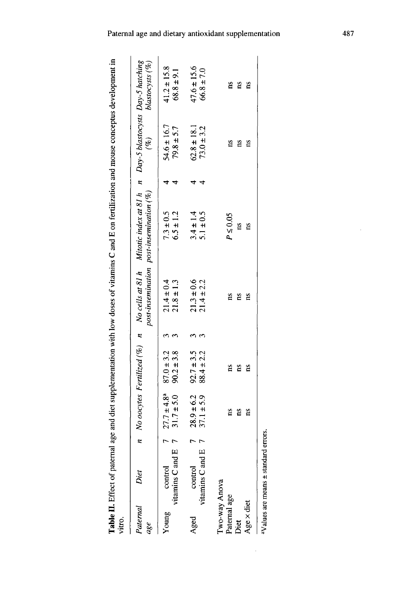Table II. Effect of paternal age and diet supplementation with low doses of vitamins C and E on fertilization and mouse conceptus development in

| vitro.                                                     |                                      |                                     |                                  |                                    |                                                                                                                                                    |                                    |                                   |
|------------------------------------------------------------|--------------------------------------|-------------------------------------|----------------------------------|------------------------------------|----------------------------------------------------------------------------------------------------------------------------------------------------|------------------------------------|-----------------------------------|
| Paternal<br>ase                                            | Diet                                 |                                     |                                  |                                    | n No oocytes Fertilized (%) n No cells at 81 h Mitotic index at 81 h n Day-5 blastocysts Day-5 hatching<br>post-insemination post-insemination (%) | $($ %)                             | blastocysts (%)                   |
| Young                                                      | vitamins C and E<br>control          | $27.7 \pm 4.8^a$ 8<br>31.7 ± 5.0    | $87.0 \pm 3.2$<br>$90.2 \pm 3.8$ | $21.4 \pm 0.4$<br>$21.8 \pm 1.3$   | $7.3 \pm 0.5$<br>$6.5 \pm 1.2$                                                                                                                     | $54.6 \pm 16.7$<br>$79.8 \pm 5.7$  | $41.2 \pm 15.8$<br>$68.8 \pm 9.1$ |
| Aged                                                       | vitamins C and E<br>control          | $28.9 \pm 6.2$<br>37.1 ± 5.9        | $92.7 \pm 3.5$<br>$88.4 \pm 2.2$ | $21.3 \pm 0.6$<br>$21.4 \pm 2.2$   | $3.4 \pm 1.4$<br>$5.1 \pm 0.5$                                                                                                                     | $62.8 \pm 18.1$<br>$73.0 \pm 3.2$  | $47.6 \pm 15.6$<br>$66.8 \pm 7.0$ |
| Two-way Anova<br>Paternal age<br>Age $\times$ diet<br>Diet |                                      | $\overline{\mathbf{n}}$<br>ns<br>ns | 1S<br>ă<br>á                     | $\overline{\mathbf{n}}$<br>ă,<br>ï | $P \leq 0.05$<br>Ë<br>ă,                                                                                                                           | ns<br>$\overline{\mathbf{n}}$<br>ă | ns<br>ns<br>ns                    |
|                                                            | aValues are means ± standard errors. |                                     |                                  |                                    |                                                                                                                                                    |                                    |                                   |

Paternal age and dietary antioxidant supplementation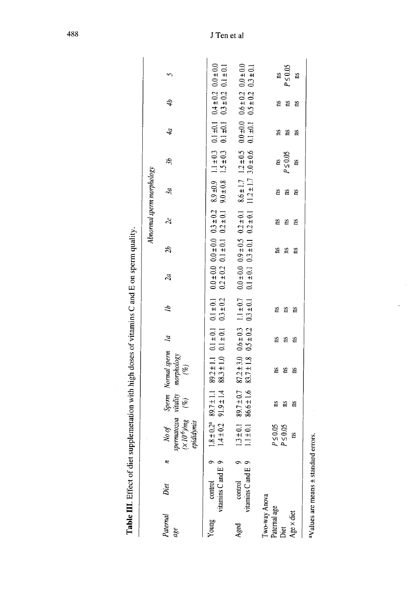Table III. Effect of diet supplemetation with high doses of vitamins C and E on sperm quality.

| Abnormal sperm morphology | 4þ<br>40<br>$\ddot{x}$<br>$\tilde{\mathcal{E}}$<br>$\overline{\mathcal{E}}$<br>2b<br>$\overline{a}$ | $8.9 \pm 0.9$ 1.1 ± 0.3 0.1 ± 0.1 $\pm$ 0.1 $\pm$ 0.2 0.0 $\pm$ 0.0<br>$0.3 \pm 0.2$ $0.1 \pm 0.1$<br>$0.1 \pm 0.1$<br>$1.5 \pm 0.3$<br>$9.0 \pm 0.8$<br>$0.0 \pm 0.0$ $0.0 \pm 0.0$ $0.3 \pm 0.2$<br>$0.2 \pm 0.2$ 0.1 $\pm 0.1$ 0.2 $\pm 0.1$ | $0.6 \pm 0.2$ $0.0 \pm 0.0$<br>$0.3 \pm 0.1$<br>$0.5 \pm 0.2$<br>$0.0 \pm 0.0$<br>$0.1 \pm 0.1$<br>$8.6 \pm 1.7$ $1.2 \pm 0.5$<br>$3.0 \pm 0.6$<br>$11.2 \pm 1.7$<br>$0.0 \pm 0.0$ $0.9 \pm 0.5$ $0.2 \pm 0.1$<br>$0.1 \pm 0.1$ $0.3 \pm 0.1$ $0.2 \pm 0.1$ | $P \le 0.05$<br>$\overline{\mathbf{n}}$<br>m<br>5.<br>æ<br>πs<br>Ξ<br>Ξ<br>$P \le 0.05$<br>1Ś<br>1S<br>1S<br>ĩS<br>ă<br>a<br>Ξ<br>2<br>m<br>Ξ |
|---------------------------|-----------------------------------------------------------------------------------------------------|-------------------------------------------------------------------------------------------------------------------------------------------------------------------------------------------------------------------------------------------------|-------------------------------------------------------------------------------------------------------------------------------------------------------------------------------------------------------------------------------------------------------------|-----------------------------------------------------------------------------------------------------------------------------------------------|
|                           | $\mathcal{L}$                                                                                       | $89.2 \pm 1.1$ 0.1 $\pm$ 0.1 $\pm$ 0.1 $\pm$ 0.1<br>$0.3 \pm 0.2$<br>$88.3 \pm 1.0$ $0.1 \pm 0.1$                                                                                                                                               | $1.1 \pm 0.7$<br>$0.3 \pm 0.1$<br>$87.2 \pm 3.0$ $0.6 \pm 0.3$<br>$0.5 \pm 0.2$                                                                                                                                                                             | Ξ<br>ឌ<br>Ξ<br>ă<br>æ<br>Έ                                                                                                                    |
|                           | Sperm Normal sperm 1a<br>vitality morphology<br>(%)<br>$(\%)$                                       | $89.7 \pm 1.1$<br>$91.9 \pm 1.4$                                                                                                                                                                                                                | $83.7 \pm 1.8$<br>89.7 ± 0.7<br>86.6 ± 1.6                                                                                                                                                                                                                  | 1.S<br>S<br>ă<br>m<br>1S<br>χ                                                                                                                 |
|                           | $N$ o of<br>spermatozoa<br>$\mu$ /(x 10°V)<br>epididymis                                            | $1.8 \pm 0.2^a$<br>$1.4 \pm 0.2$                                                                                                                                                                                                                | $1.3 \pm 0.1$<br>$1.1 \pm 0.1$                                                                                                                                                                                                                              | $P \le 0.05$<br>$P \le 0.05$<br>m                                                                                                             |
|                           | z<br>Diet                                                                                           | $\tilde{\phantom{0}}$<br>0<br>vitamins C and E<br>control                                                                                                                                                                                       | ా<br>っ<br>vitamins C and E<br>control                                                                                                                                                                                                                       |                                                                                                                                               |
|                           | Paternal<br>age                                                                                     | $Y$ oung                                                                                                                                                                                                                                        | Aged                                                                                                                                                                                                                                                        | Two-way Anova<br>Paternal age<br>Age x diet<br><sub>jet</sub>                                                                                 |

 $\frac{1}{2}$ Values are means ± standard errors.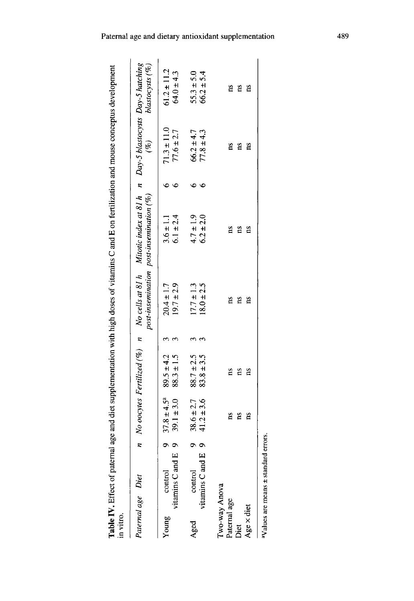| į<br>$\ddot{\phantom{a}}$<br>i<br>l<br>i<br>֪ׅ֪֪ׅ֖֚֚֡֝֬֝֬֝֬֝֬֝֬֝֬<br><b>September</b><br>l<br>NTV DEC<br>ann ann e<br>j<br>Ì<br>I |
|-----------------------------------------------------------------------------------------------------------------------------------|
|-----------------------------------------------------------------------------------------------------------------------------------|

| in vitro.                                                         |                           |                          |                                    |                                  |                                  | Table IV. Effect of paternal age and diet supplementation with high doses of vitamins C and E on fertilization and mouse conceptus development     |              |                                   |                                   |
|-------------------------------------------------------------------|---------------------------|--------------------------|------------------------------------|----------------------------------|----------------------------------|----------------------------------------------------------------------------------------------------------------------------------------------------|--------------|-----------------------------------|-----------------------------------|
| Paternal age Diet                                                 |                           |                          |                                    |                                  |                                  | n No oocytes Fertilized (%) n No cells at 81 h Mitotic index at 81 h n Day-5 blastocysts Day-5 hatching<br>post-insemination post-insemination (%) |              | $(\%)$                            | blastocysts (%)                   |
| Young                                                             | vitamins C and<br>control | $\circ$<br>$\circ$<br>щ  | $37.8 \pm 4.5^a$<br>$39.1 \pm 3.0$ | $89.5 \pm 4.2$<br>$88.3 \pm 1.5$ | $19.7 \pm 2.9$<br>$20.4 \pm 1.7$ | $6.1 \pm 2.4$<br>$3.6 \pm 1.1$                                                                                                                     | ७            | $71.3 \pm 11.0$<br>$77.6 \pm 2.7$ | $61.2 \pm 11.2$<br>$64.0 \pm 4.3$ |
| Aged                                                              | vitamins C and<br>control | $\sigma$<br>$\circ$<br>σ | $38.6 \pm 2.7$<br>$41.2 \pm 3.6$   | $88.7 \pm 2.5$<br>$83.8 \pm 3.5$ | $17.7 \pm 1.3$<br>$18.0 \pm 2.5$ | $4.7 \pm 1.9$<br>$6.2 \pm 2.0$                                                                                                                     | $\circ$<br>v | $66.2 \pm 4.7$<br>$77.8 \pm 4.3$  | $55.3 \pm 5.0$<br>$66.2 \pm 5.4$  |
| Two-way Anova<br>Paternal age<br>Age $\times$ diet<br><b>Diet</b> |                           |                          | 2<br>ns<br>2                       | 2ŭ<br>ns<br>ã                    | 1S<br>m<br><b>ns</b>             | 1S<br><b>ns</b><br><b>ns</b>                                                                                                                       |              | 2u<br>m<br>m                      | ă<br>1S<br>å                      |

 $\overline{a$ Values are means  $\pm$  standard errors.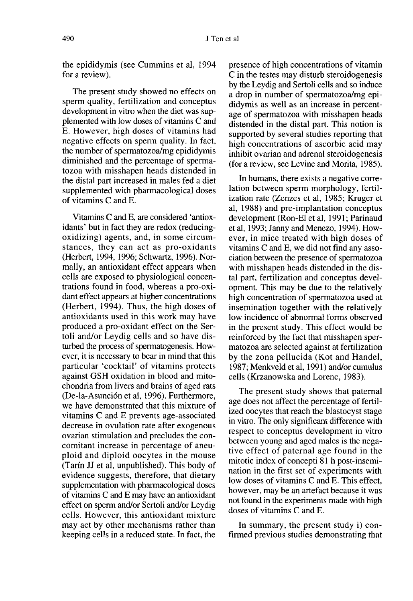the epididymis (see Cummins et al, 1994 for a review).

The present study showed no effects on sperm quality, fertilization and conceptus development in vitro when the diet was supplemented with low doses of vitamins C and E. However, high doses of vitamins had negative effects on sperm quality. In fact, the number of spermatozoa/mg epididymis diminished and the percentage of spermatozoa with misshapen heads distended in the distal part increased in males fed a diet supplemented with pharmacological doses of vitamins C and E.

Vitamins C and E, are considered 'antioxidants' but in fact they are redox (reducingoxidizing) agents, and, in some circumstances, they can act as pro-oxidants (Herbert, 1994, 1996; Schwartz, 1996). Normally, an antioxidant effect appears when cells are exposed to physiological concentrations found in food, whereas a pro-oxidant effect appears at higher concentrations (Herbert, 1994). Thus, the high doses of antioxidants used in this work may have produced a pro-oxidant effect on the Sertoli and/or Leydig cells and so have disturbed the process of spermatogenesis. However, it is necessary to bear in mind that this particular 'cocktail' of vitamins protects against GSH oxidation in blood and mitochondria from livers and brains of aged rats (De-la-Asunci6n et al, 1996). Furthermore, we have demonstrated that this mixture of vitamins C and E prevents age-associated decrease in ovulation rate after exogenous ovarian stimulation and precludes the concomitant increase in percentage of aneuploid and diploid oocytes in the mouse (Tarin JJ et al, unpublished). This body of evidence suggests, therefore, that dietary supplementation with pharmacological doses of vitamins C and E may have an antioxidant effect on sperm and/or Sertoli and/or Leydig cells. However, this antioxidant mixture may act by other mechanisms rather than keeping cells in a reduced state. In fact, the

presence of high concentrations of vitamin C in the testes may disturb steroidogenesis by the Leydig and Sertoli cells and so induce a drop in number of spermatozoa/mg epididymis as well as an increase in percentage of spermatozoa with misshapen heads distended in the distal part. This notion is supported by several studies reporting that high concentrations of ascorbic acid may inhibit ovarian and adrenal steroidogenesis (for a review, see Levine and Morita, 1985).

In humans, there exists a negative correlation between sperm morphology, fertilization rate (Zenzes et al, 1985; Kruger et al, 1988) and pre-implantation conceptus development (Ron-El et al, 1991; Parinaud et al, 1993; Janny and Menezo, 1994). However, in mice treated with high doses of vitamins C and E, we did not find any association between the presence of spermatozoa with misshapen heads distended in the distal part, fertilization and conceptus development. This may be due to the relatively high concentration of spermatozoa used at insemination together with the relatively low incidence of abnormal forms observed in the present study. This effect would be reinforced by the fact that misshapen spermatozoa are selected against at fertilization by the zona pellucida (Kot and Handel, 1987; Menkveld et al, 1991) and/or cumulus cells (Krzanowska and Lorenc, 1983).

The present study shows that paternal age does not affect the percentage of fertilized oocytes that reach the blastocyst stage in vitro. The only significant difference with respect to conceptus development in vitro between young and aged males is the negative effect of paternal age found in the mitotic index of concepti 81 h post-insemination in the first set of experiments with low doses of vitamins C and E. This effect, however, may be an artefact because it was not found in the experiments made with high doses of vitamins C and E.

In summary, the present study i) confirmed previous studies demonstrating that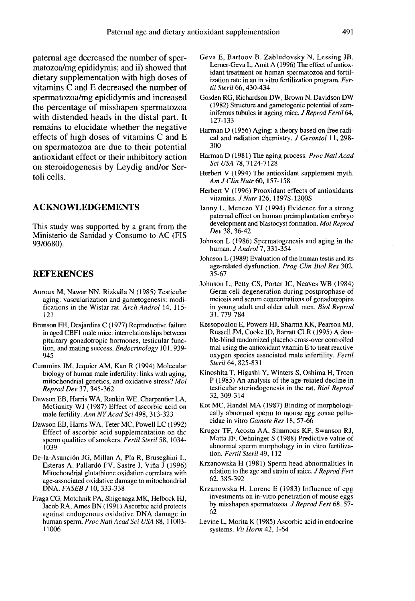paternal age decreased the number of spermatozoa/mg epididymis; and ii) showed that dietary supplementation with high doses of vitamins C and E decreased the number of spermatozoa/mg epididymis and increased the percentage of misshapen spermatozoa with distended heads in the distal part. It remains to elucidate whether the negative effects of high doses of vitamins C and E on spermatozoa are due to their potential antioxidant effect or their inhibitory action on steroidogenesis by Leydig and/or Sertoli cells.

## ACKNOWLEDGEMENTS

This study was supported by a grant from the Ministerio de Sanidad y Consumo to AC (FIS 93/0680).

# **REFERENCES**

- Auroux M, Nawar NN, Rizkalla N (1985) Testicular aging: vascularization and gametogenesis: modifications in the Wistar rat. Arch Androl 14, 115- 121 l
- Bronson FH, Desjardins C (1977) Reproductive failure in aged CBFI male mice: interrelationships between pituitary gonadotropic hormones, testicular function, and mating success. Endocrinology 101, 939- 945
- Cummins JM, Jequier AM, Kan R (1994) Molecular biology of human male infertility: links with aging, mitochondrial genetics, and oxidative stress? Mol Reprod Dev 37, 345-362
- Dawson EB, Harris WA, Rankin WE, Charpentier LA, McGanity WJ (1987) Effect of ascorbic acid on male fertility. Ann NY Acad Sci 498, 313-323
- Dawson EB, Harris WA, Teter MC, Powell LC (1992) Effect of ascorbic acid supplementation on the sperm qualities of smokers. Fertil Steril 58, 1034- 1039
- De-la-Asunci6n JG, Millan A, Pla R, Bruseghini L, Esteras A, Pallard6 FV, Sastre J, Vina J (1996) Mitochondrial glutathione oxidation correlates with age-associated oxidative damage to mitochondrial DNA. FASEB J 10, 333-338
- Fraga CG, Motchnik PA, Shigenaga MK, Helbock HJ, Jacob RA, Ames BN (1991) Ascorbic acid protects against endogenous oxidative DNA damage in human sperm. Proc Natl Acad Sci USA 88, 11003-11006
- Geva E, Bartoov B, Zabludovsky N, Lessing JB, Lemer-Geva L, Amit A (1996) The effect of antioxidant treatment on human spermatozoa and fertilization rate in an in vitro fertilization program. Fertil Steril 66, 430-434
- Gosden RG, Richardson DW, Brown N, Davidson DW (1982) Structure and gametogenic potential of seminiferous tubules in ageing mice. *J Reprod Fertil* 64, 127-133
- Harman D (1956) Aging: a theory based on free radical and radiation chemistry. J Gerontol 11, 298- 300
- Harman D (1981) The aging process. Proc Natl Acad Sci USA 78, 7124-7128
- Herbert V (1994) The antioxidant supplement myth. Am J Clin Nutr 60, 157-158
- Herbert V (1996) Prooxidant effects of antioxidants vitamins. *J Nutr* 126, 1197S-1200S
- Janny L, Menezo YJ (1994) Evidence for a strong paternal effect on human preimplantation embryo development and blastocyst formation. Mol Reprod Dev 38, 36-42
- Johnson L (1986) Spermatogenesis and aging in the human. *J Androl* 7, 331-354
- Johnson L (1989) Evaluation of the human testis and its age-related dysfunction. Prog Clin Biol Res 302, 35-67
- Johnson L, Petty CS, Porter JC, Neaves WB (1984) Germ cell degeneration during postprophase of meiosis and serum concentrations of gonadotropins in young adult and older adult men. Biol Reprod 31,779-784
- Kessopoulou E, Powers HJ, Sharma KK, Pearson MJ, Russell JM, Cooke ID, Barratt CLR (1995) A double-blind randomized placebo cross-over controlled trial using the antioxidant vitamin E to treat reactive oxygen species associated male infertility. Fertil Steril 64, 825-831
- Kinoshita T, Higashi Y, Winters S, Oshima H, Troen P (1985) An analysis of the age-related decline in testicular steriodogenesis in the rat. Biol Reprod 32, 309-314
- Kot MC, Handel MA (1987) Binding of morphologically abnormal sperm to mouse egg zonae pellucidae in vitro Gamete Res 18, 57-66
- Kruger TF, Acosta AA, Simmons KF, Swanson RJ, Matta JF, Oehninger S (1988) Predictive value of abnormal sperm morphology in in vitro fertilization. Fertil Steril 49, 112
- Krzanowska H (1981) Sperm head abnormalities in relation to the age and strain of mice. J Reprod Fert 62,385-392
- Krzanowska H, Lorenc E ( 1983) Influence of egg investments on in-vitro penetration of mouse eggs by misshapen spermatozoa. J Reprod Fert 68, 57- 62
- Levine L, Morita K (1985) Ascorbic acid in endocrine systems. Vit Horm 42, 1-64